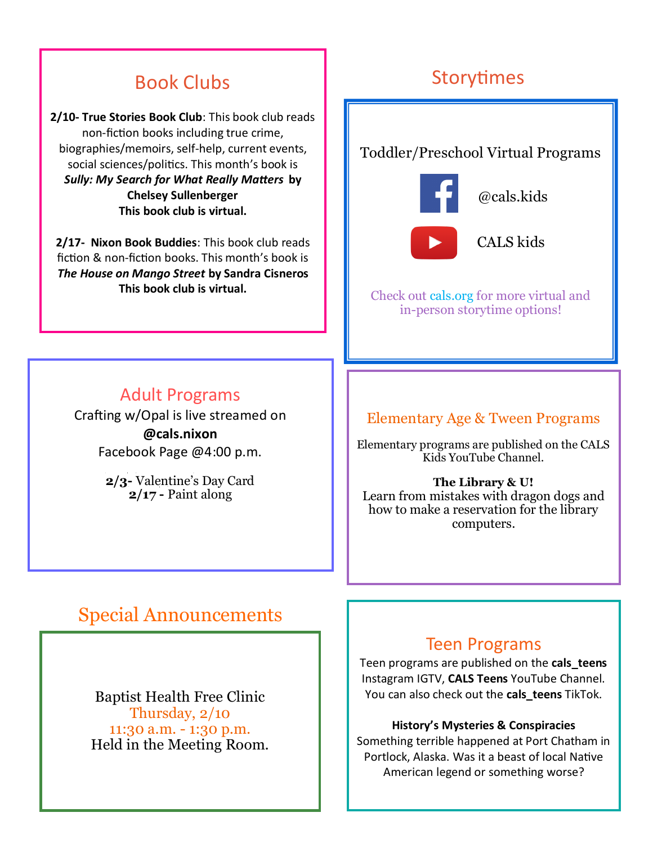# Book Clubs

**2/10- True Stories Book Club**: This book club reads non-fiction books including true crime, biographies/memoirs, self-help, current events, social sciences/politics. This month's book is *Sully: My Search for What Really Matters* **by Chelsey Sullenberger This book club is virtual.**

**2/17- Nixon Book Buddies**: This book club reads fiction & non-fiction books. This month's book is *The House on Mango Street* **by Sandra Cisneros This book club is virtual.** 

# Storytimes

## Toddler/Preschool Virtual Programs



@cals.kids



CALS kids

Check out cals.org for more virtual and in-person storytime options!

# Adult Programs

Crafting w/Opal is live streamed on **@cals.nixon**  Facebook Page @4:00 p.m.

> **2/3-** Valentine's Day Card **2/17 -** Paint along

## Elementary Age & Tween Programs

Elementary programs are published on the CALS Kids YouTube Channel.

#### **The Library & U!**

Learn from mistakes with dragon dogs and how to make a reservation for the library computers.

# Special Announcements

Baptist Health Free Clinic Thursday, 2/10 11:30 a.m. - 1:30 p.m. Held in the Meeting Room.

### Teen Programs

Teen programs are published on the **cals\_teens**  Instagram IGTV, **CALS Teens** YouTube Channel. You can also check out the **cals\_teens** TikTok.

#### **History's Mysteries & Conspiracies**

Something terrible happened at Port Chatham in Portlock, Alaska. Was it a beast of local Native American legend or something worse?